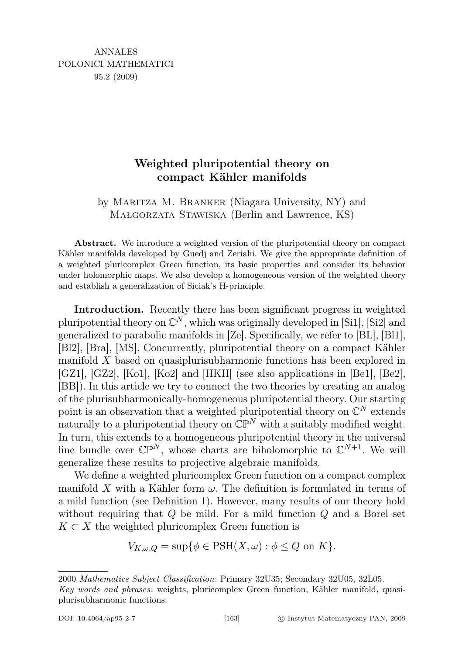## Weighted pluripotential theory on compact Kähler manifolds

by Maritza M. Branker (Niagara University, NY) and Małgorzata Stawiska (Berlin and Lawrence, KS)

Abstract. We introduce a weighted version of the pluripotential theory on compact Kähler manifolds developed by Guedj and Zeriahi. We give the appropriate definition of a weighted pluricomplex Green function, its basic properties and consider its behavior under holomorphic maps. We also develop a homogeneous version of the weighted theory and establish a generalization of Siciak's H-principle.

Introduction. Recently there has been significant progress in weighted pluripotential theory on  $\mathbb{C}^N$ , which was originally developed in [Si1], [Si2] and generalized to parabolic manifolds in [Ze]. Specifically, we refer to [BL], [Bl1], [Bl2], [Bra], [MS]. Concurrently, pluripotential theory on a compact Kähler manifold  $X$  based on quasiplurisubharmonic functions has been explored in [GZ1], [GZ2], [Ko1], [Ko2] and [HKH] (see also applications in [Be1], [Be2], [BB]). In this article we try to connect the two theories by creating an analog of the plurisubharmonically-homogeneous pluripotential theory. Our starting point is an observation that a weighted pluripotential theory on  $\mathbb{C}^N$  extends naturally to a pluripotential theory on  $\mathbb{CP}^N$  with a suitably modified weight. In turn, this extends to a homogeneous pluripotential theory in the universal line bundle over  $\mathbb{CP}^N$ , whose charts are biholomorphic to  $\mathbb{C}^{N+1}$ . We will generalize these results to projective algebraic manifolds.

We define a weighted pluricomplex Green function on a compact complex manifold X with a Kähler form  $\omega$ . The definition is formulated in terms of a mild function (see Definition 1). However, many results of our theory hold without requiring that  $Q$  be mild. For a mild function  $Q$  and a Borel set  $K \subset X$  the weighted pluricomplex Green function is

$$
V_{K,\omega,Q} = \sup \{ \phi \in \text{PSH}(X,\omega) : \phi \le Q \text{ on } K \}.
$$

<sup>2000</sup> Mathematics Subject Classification: Primary 32U35; Secondary 32U05, 32L05.

Key words and phrases: weights, pluricomplex Green function, Kähler manifold, quasiplurisubharmonic functions.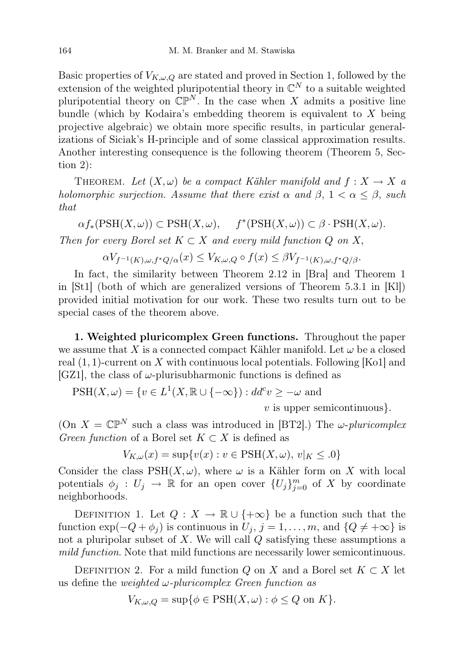Basic properties of  $V_{K,\omega,Q}$  are stated and proved in Section 1, followed by the extension of the weighted pluripotential theory in  $\mathbb{C}^N$  to a suitable weighted pluripotential theory on  $\mathbb{CP}^N$ . In the case when X admits a positive line bundle (which by Kodaira's embedding theorem is equivalent to  $X$  being projective algebraic) we obtain more specific results, in particular generalizations of Siciak's H-principle and of some classical approximation results. Another interesting consequence is the following theorem (Theorem 5, Section 2):

THEOREM. Let  $(X, \omega)$  be a compact Kähler manifold and  $f: X \to X$  a holomorphic surjection. Assume that there exist  $\alpha$  and  $\beta$ ,  $1 < \alpha \leq \beta$ , such that

 $\alpha f_*(\text{PSH}(X,\omega)) \subset \text{PSH}(X,\omega), \quad f^*(\text{PSH}(X,\omega)) \subset \beta \cdot \text{PSH}(X,\omega).$ 

Then for every Borel set  $K \subset X$  and every mild function Q on X,

 $\alpha V_{f^{-1}(K),\omega,f^*Q/\alpha}(x) \leq V_{K,\omega,Q} \circ f(x) \leq \beta V_{f^{-1}(K),\omega,f^*Q/\beta}.$ 

In fact, the similarity between Theorem 2.12 in [Bra] and Theorem 1 in [St1] (both of which are generalized versions of Theorem 5.3.1 in [Kl]) provided initial motivation for our work. These two results turn out to be special cases of the theorem above.

1. Weighted pluricomplex Green functions. Throughout the paper we assume that X is a connected compact Kähler manifold. Let  $\omega$  be a closed real  $(1, 1)$ -current on X with continuous local potentials. Following [Ko1] and [GZ1], the class of  $\omega$ -plurisubharmonic functions is defined as

 $PSH(X, \omega) = \{v \in L^1(X, \mathbb{R} \cup \{-\infty\}) : dd^c v \geq -\omega \text{ and }$ 

 $v$  is upper semicontinuous.

(On  $X = \mathbb{CP}^N$  such a class was introduced in [BT2].) The  $\omega$ -pluricomplex Green function of a Borel set  $K \subset X$  is defined as

$$
V_{K,\omega}(x) = \sup\{v(x) : v \in \text{PSH}(X,\omega), v|_{K} \le 0\}
$$

Consider the class  $PSH(X, \omega)$ , where  $\omega$  is a Kähler form on X with local potentials  $\phi_j : U_j \to \mathbb{R}$  for an open cover  $\{U_j\}_{j=0}^m$  of X by coordinate neighborhoods.

DEFINITION 1. Let  $Q: X \to \mathbb{R} \cup \{+\infty\}$  be a function such that the function  $\exp(-Q + \phi_j)$  is continuous in  $U_j$ ,  $j = 1, \ldots, m$ , and  $\{Q \neq +\infty\}$  is not a pluripolar subset of  $X$ . We will call  $Q$  satisfying these assumptions a mild function. Note that mild functions are necessarily lower semicontinuous.

DEFINITION 2. For a mild function Q on X and a Borel set  $K \subset X$  let us define the weighted  $\omega$ -pluricomplex Green function as

$$
V_{K,\omega,Q} = \sup \{ \phi \in \text{PSH}(X,\omega) : \phi \le Q \text{ on } K \}.
$$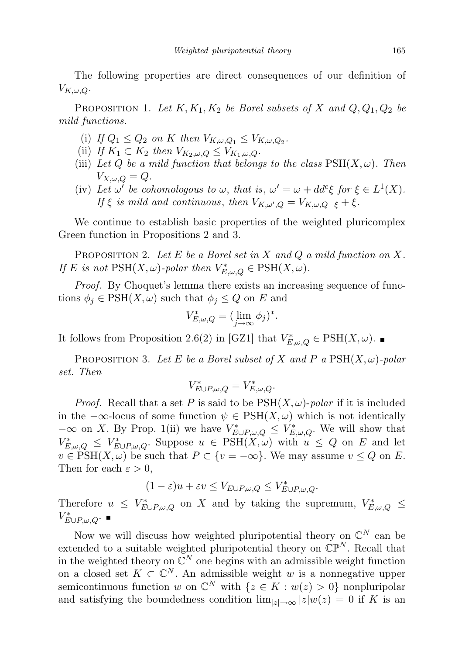The following properties are direct consequences of our definition of  $V_{K,\omega,Q}$ .

PROPOSITION 1. Let  $K, K_1, K_2$  be Borel subsets of X and  $Q, Q_1, Q_2$  be mild functions.

- (i) If  $Q_1 \leq Q_2$  on K then  $V_{K,\omega,Q_1} \leq V_{K,\omega,Q_2}$ .
- (ii) If  $K_1 \subset K_2$  then  $V_{K_2,\omega,Q} \leq V_{K_1,\omega,Q}$ .
- (iii) Let Q be a mild function that belongs to the class  $\text{PSH}(X,\omega)$ . Then  $V_{X,\omega,Q} = Q.$
- (iv) Let  $\omega'$  be cohomologous to  $\omega$ , that is,  $\omega' = \omega + dd^c \xi$  for  $\xi \in L^1(X)$ . If  $\xi$  is mild and continuous, then  $V_{K,\omega',Q} = V_{K,\omega,Q-\xi} + \xi$ .

We continue to establish basic properties of the weighted pluricomplex Green function in Propositions 2 and 3.

PROPOSITION 2. Let E be a Borel set in X and Q a mild function on X. If E is not  $\text{PSH}(X,\omega)$ -polar then  $V_{E,\omega,Q}^* \in \text{PSH}(X,\omega)$ .

Proof. By Choquet's lemma there exists an increasing sequence of functions  $\phi_i \in \text{PSH}(X, \omega)$  such that  $\phi_i \leq Q$  on E and

$$
V_{E,\omega,Q}^* = (\lim_{j \to \infty} \phi_j)^*.
$$

It follows from Proposition 2.6(2) in [GZ1] that  $V_{E,\omega,Q}^* \in \text{PSH}(X,\omega)$ .

PROPOSITION 3. Let E be a Borel subset of X and P a  $PSH(X, \omega)$ -polar set. Then

$$
V_{E\cup P,\omega,Q}^* = V_{E,\omega,Q}^*.
$$

*Proof.* Recall that a set P is said to be  $PSH(X,\omega)$ -polar if it is included in the  $-\infty$ -locus of some function  $\psi \in \text{PSH}(X, \omega)$  which is not identically  $-\infty$  on X. By Prop. 1(ii) we have  $V^*_{E\cup P,\omega,Q}$  ≤  $V^*_{E,\omega,Q}$ . We will show that  $V_{E,\omega,Q}^* \leq V_{E\cup P,\omega,Q}^*$ . Suppose  $u \in \text{PSH}(\tilde{X},\omega)$  with  $u \leq Q$  on E and let  $v \in \text{PSH}(X,\omega)$  be such that  $P \subset \{v = -\infty\}$ . We may assume  $v \leq Q$  on E. Then for each  $\varepsilon > 0$ ,

$$
(1 - \varepsilon)u + \varepsilon v \le V_{E \cup P, \omega, Q} \le V_{E \cup P, \omega, Q}^*.
$$

Therefore  $u \leq V^*_{E \cup P, \omega, Q}$  on X and by taking the supremum,  $V^*_{E, \omega, Q}$  $V_{E\cup P,\omega,Q}^*$ .

Now we will discuss how weighted pluripotential theory on  $\mathbb{C}^N$  can be extended to a suitable weighted pluripotential theory on  $\mathbb{CP}^N$ . Recall that in the weighted theory on  $\mathbb{C}^N$  one begins with an admissible weight function on a closed set  $K \subset \mathbb{C}^N$ . An admissible weight w is a nonnegative upper semicontinuous function w on  $\mathbb{C}^N$  with  $\{z \in K : w(z) > 0\}$  nonpluripolar and satisfying the boundedness condition  $\lim_{|z|\to\infty} |z| w(z) = 0$  if K is an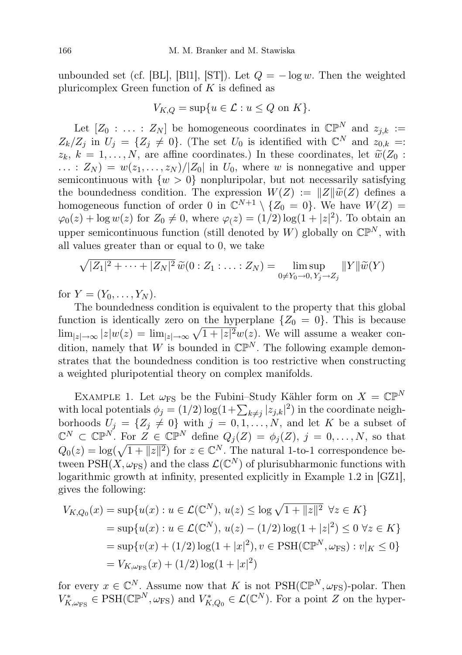unbounded set (cf. [BL], [Bl1], [ST]). Let  $Q = -\log w$ . Then the weighted pluricomplex Green function of  $K$  is defined as

$$
V_{K,Q} = \sup\{u \in \mathcal{L} : u \le Q \text{ on } K\}.
$$

Let  $[Z_0 : \ldots : Z_N]$  be homogeneous coordinates in  $\mathbb{CP}^N$  and  $z_{i,k} :=$  $Z_k/Z_j$  in  $U_j = \{Z_j \neq 0\}$ . (The set  $U_0$  is identified with  $\mathbb{C}^N$  and  $z_{0,k} = z$  $z_k, k = 1, \ldots, N$ , are affine coordinates.) In these coordinates, let  $\widetilde{w}(Z_0 : Z_0)$  $\ldots$ :  $Z_N$ ) =  $w(z_1, \ldots, z_N)/|Z_0|$  in  $U_0$ , where w is nonnegative and upper semicontinuous with  $\{w > 0\}$  nonpluripolar, but not necessarily satisfying the boundedness condition. The expression  $W(Z) := ||Z|| \widetilde{\omega}(Z)$  defines a homogeneous function of order 0 in  $\mathbb{C}^{N+1} \setminus \{Z_0 = 0\}$ . We have  $W(Z) =$  $\varphi_0(z) + \log w(z)$  for  $Z_0 \neq 0$ , where  $\varphi(z) = (1/2) \log(1 + |z|^2)$ . To obtain an upper semicontinuous function (still denoted by W) globally on  $\mathbb{CP}^N$ , with all values greater than or equal to 0, we take

$$
\sqrt{|Z_1|^2 + \dots + |Z_N|^2} \widetilde{w}(0:Z_1:\dots:Z_N) = \limsup_{0 \neq Y_0 \to 0, Y_j \to Z_j} ||Y|| \widetilde{w}(Y)
$$

for  $Y = (Y_0, \ldots, Y_N)$ .

The boundedness condition is equivalent to the property that this global function is identically zero on the hyperplane  $\{Z_0 = 0\}$ . This is because  $\lim_{|z|\to\infty} |z|w(z) = \lim_{|z|\to\infty} \sqrt{1+|z|^2}w(z)$ . We will assume a weaker condition, namely that W is bounded in  $\mathbb{CP}^N$ . The following example demonstrates that the boundedness condition is too restrictive when constructing a weighted pluripotential theory on complex manifolds.

EXAMPLE 1. Let  $\omega_{\text{FS}}$  be the Fubini–Study Kähler form on  $X = \mathbb{CP}^N$ with local potentials  $\phi_j = (1/2) \log(1 + \sum_{k \neq j} |z_{j,k}|^2)$  in the coordinate neighborhoods  $U_j = \{Z_j \neq 0\}$  with  $j = 0, 1, ..., N$ , and let K be a subset of  $\mathbb{C}^N \subset \mathbb{CP}^N$ . For  $Z \in \mathbb{CP}^N$  define  $Q_j(Z) = \phi_j(Z), j = 0, \ldots, N$ , so that  $Q_0(z) = \log(\sqrt{1 + ||z||^2})$  for  $z \in \mathbb{C}^N$ . The natural 1-to-1 correspondence between  $\text{PSH}(X,\omega_{\text{FS}})$  and the class  $\mathcal{L}(\mathbb{C}^N)$  of plurisubharmonic functions with logarithmic growth at infinity, presented explicitly in Example 1.2 in [GZ1], gives the following:

$$
V_{K,Q_0}(x) = \sup \{ u(x) : u \in \mathcal{L}(\mathbb{C}^N), u(z) \le \log \sqrt{1 + ||z||^2} \ \forall z \in K \}
$$
  
= 
$$
\sup \{ u(x) : u \in \mathcal{L}(\mathbb{C}^N), u(z) - (1/2) \log(1 + |z|^2) \le 0 \ \forall z \in K \}
$$
  
= 
$$
\sup \{ v(x) + (1/2) \log(1 + |x|^2), v \in \text{PSH}(\mathbb{CP}^N, \omega_{\text{FS}}) : v|_K \le 0 \}
$$
  
= 
$$
V_{K,\omega_{\text{FS}}}(x) + (1/2) \log(1 + |x|^2)
$$

for every  $x \in \mathbb{C}^N$ . Assume now that K is not  $\mathrm{PSH}(\mathbb{CP}^N, \omega_{\mathrm{FS}})$ -polar. Then  $V^*_{K,\omega_{\text{FS}}} \in \text{PSH}(\mathbb{CP}^N, \omega_{\text{FS}})$  and  $V^*_{K,Q_0} \in \mathcal{L}(\mathbb{C}^N)$ . For a point Z on the hyper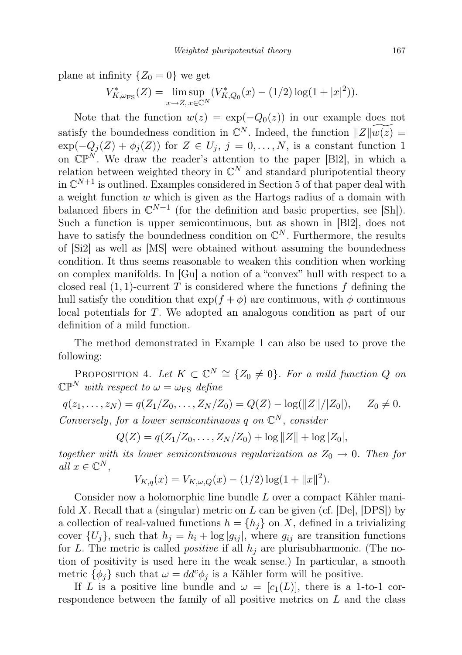plane at infinity  $\{Z_0 = 0\}$  we get

$$
V_{K,\omega_{\text{FS}}}^{*}(Z) = \limsup_{x \to Z, x \in \mathbb{C}^N} (V_{K,Q_0}^{*}(x) - (1/2) \log(1+|x|^2)).
$$

Note that the function  $w(z) = \exp(-Q_0(z))$  in our example does not satisfy the boundedness condition in  $\mathbb{C}^N$ . Indeed, the function  $||Z|| \widetilde{w(z)} =$  $\exp(-Q_j(Z) + \phi_j(Z))$  for  $Z \in U_j$ ,  $j = 0, \ldots, N$ , is a constant function 1 on  $\mathbb{CP}^N$ . We draw the reader's attention to the paper [Bl2], in which a relation between weighted theory in  $\mathbb{C}^N$  and standard pluripotential theory in  $\mathbb{C}^{N+1}$  is outlined. Examples considered in Section 5 of that paper deal with a weight function  $w$  which is given as the Hartogs radius of a domain with balanced fibers in  $\mathbb{C}^{N+1}$  (for the definition and basic properties, see [Sh]). Such a function is upper semicontinuous, but as shown in [Bl2], does not have to satisfy the boundedness condition on  $\mathbb{C}^N$ . Furthermore, the results of [Si2] as well as [MS] were obtained without assuming the boundedness condition. It thus seems reasonable to weaken this condition when working on complex manifolds. In [Gu] a notion of a "convex" hull with respect to a closed real  $(1, 1)$ -current T is considered where the functions f defining the hull satisfy the condition that  $\exp(f + \phi)$  are continuous, with  $\phi$  continuous local potentials for T. We adopted an analogous condition as part of our definition of a mild function.

The method demonstrated in Example 1 can also be used to prove the following:

PROPOSITION 4. Let  $K \subset \mathbb{C}^N \cong \{Z_0 \neq 0\}$ . For a mild function Q on  $\mathbb{CP}^N$  with respect to  $\omega = \omega_{\text{FS}}$  define

 $q(z_1, \ldots, z_N) = q(Z_1/Z_0, \ldots, Z_N/Z_0) = Q(Z) - \log(||Z||/||Z_0||), \quad Z_0 \neq 0.$ Conversely, for a lower semicontinuous q on  $\mathbb{C}^N$ , consider

 $Q(Z) = q(Z_1/Z_0, \ldots, Z_N/Z_0) + \log ||Z|| + \log |Z_0|,$ 

together with its lower semicontinuous regularization as  $Z_0 \rightarrow 0$ . Then for all  $x \in \mathbb{C}^N$ ,

$$
V_{K,q}(x) = V_{K,\omega,Q}(x) - (1/2) \log(1 + ||x||^2).
$$

Consider now a holomorphic line bundle L over a compact Kähler manifold X. Recall that a (singular) metric on  $L$  can be given (cf. [De], [DPS]) by a collection of real-valued functions  $h = \{h_i\}$  on X, defined in a trivializing cover  $\{U_i\}$ , such that  $h_j = h_i + \log |g_{ij}|$ , where  $g_{ij}$  are transition functions for L. The metric is called *positive* if all  $h_j$  are plurisubharmonic. (The notion of positivity is used here in the weak sense.) In particular, a smooth metric  $\{\phi_i\}$  such that  $\omega = dd^c \phi_i$  is a Kähler form will be positive.

If L is a positive line bundle and  $\omega = [c_1(L)]$ , there is a 1-to-1 correspondence between the family of all positive metrics on L and the class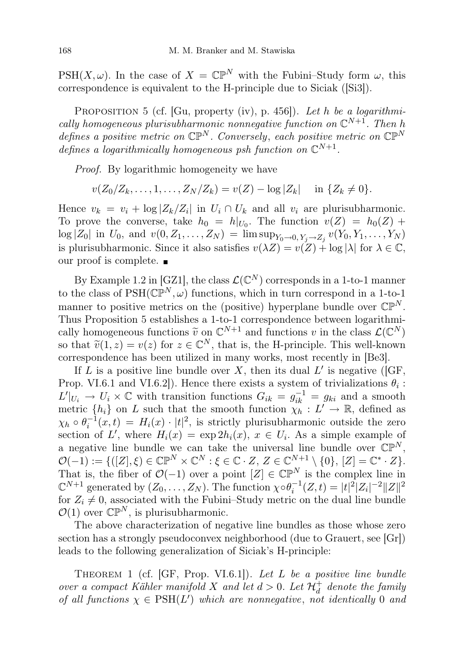PSH(X,  $\omega$ ). In the case of  $X = \mathbb{CP}^N$  with the Fubini–Study form  $\omega$ , this correspondence is equivalent to the H-principle due to Siciak ([Si3]).

PROPOSITION 5 (cf. [Gu, property (iv), p. 456]). Let h be a logarithmically homogeneous plurisubharmonic nonnegative function on  $\mathbb{C}^{N+1}$ . Then h defines a positive metric on  $\mathbb{CP}^N$ . Conversely, each positive metric on  $\mathbb{CP}^N$ defines a logarithmically homogeneous psh function on  $\mathbb{C}^{N+1}$ .

Proof. By logarithmic homogeneity we have

$$
v(Z_0/Z_k,...,1,...,Z_N/Z_k) = v(Z) - \log |Z_k|
$$
 in  $\{Z_k \neq 0\}.$ 

Hence  $v_k = v_i + \log |Z_k/Z_i|$  in  $U_i \cap U_k$  and all  $v_i$  are plurisubharmonic. To prove the converse, take  $h_0 = h|_{U_0}$ . The function  $v(Z) = h_0(Z) +$  $\log |Z_0|$  in  $U_0$ , and  $v(0, Z_1, \ldots, Z_N) = \limsup_{Y_0 \to 0, Y_j \to Z_j} v(Y_0, Y_1, \ldots, Y_N)$ is plurisubharmonic. Since it also satisfies  $v(\lambda Z) = v(Z) + \log |\lambda|$  for  $\lambda \in \mathbb{C}$ , our proof is complete.  $\blacksquare$ 

By Example 1.2 in [GZ1], the class  $\mathcal{L}(\mathbb{C}^N)$  corresponds in a 1-to-1 manner to the class of  $PSH(\mathbb{CP}^N, \omega)$  functions, which in turn correspond in a 1-to-1 manner to positive metrics on the (positive) hyperplane bundle over  $\mathbb{CP}^N$ . Thus Proposition 5 establishes a 1-to-1 correspondence between logarithmically homogeneous functions  $\tilde{v}$  on  $\mathbb{C}^{N+1}$  and functions v in the class  $\mathcal{L}(\mathbb{C}^N)$ <br>so that  $\tilde{x}(1, z) = v(z)$  for  $z \in \mathbb{C}^N$  that is the H principle. This well known so that  $\tilde{v}(1, z) = v(z)$  for  $z \in \mathbb{C}^N$ , that is, the H-principle. This well-known<br>correspondence has been utilized in many works, most recently in [Be3] correspondence has been utilized in many works, most recently in [Be3].

If L is a positive line bundle over X, then its dual  $L'$  is negative ([GF, Prop. VI.6.1 and VI.6.2]). Hence there exists a system of trivializations  $\theta_i$ :  $L'|_{U_i} \to U_i \times \mathbb{C}$  with transition functions  $G_{ik} = g_{ik}^{-1} = g_{ki}$  and a smooth metric  $\{h_i\}$  on L such that the smooth function  $\chi_h$  :  $L' \to \mathbb{R}$ , defined as  $\chi_h \circ \theta_i^{-1}(x,t) = H_i(x) \cdot |t|^2$ , is strictly plurisubharmonic outside the zero section of L', where  $H_i(x) = \exp 2h_i(x)$ ,  $x \in U_i$ . As a simple example of a negative line bundle we can take the universal line bundle over  $\mathbb{CP}^N$ ,  $\mathcal{O}(-1) := \{ ([Z], \xi) \in \mathbb{CP}^N \times \mathbb{C}^N : \xi \in \mathbb{C} \cdot Z, Z \in \mathbb{C}^{N+1} \setminus \{0\}, [Z] = \mathbb{C}^* \cdot Z \}.$ That is, the fiber of  $\mathcal{O}(-1)$  over a point  $[Z] \in \mathbb{CP}^N$  is the complex line in  $\mathbb{C}^{N+1}$  generated by  $(Z_0, \ldots, Z_N)$ . The function  $\chi \circ \theta_i^{-1}(Z,t) = |t|^2 |Z_i|^{-2} ||Z||^2$ for  $Z_i \neq 0$ , associated with the Fubini–Study metric on the dual line bundle  $\mathcal{O}(1)$  over  $\mathbb{CP}^N$ , is plurisubharmonic.

The above characterization of negative line bundles as those whose zero section has a strongly pseudoconvex neighborhood (due to Grauert, see [Gr]) leads to the following generalization of Siciak's H-principle:

THEOREM 1 (cf.  $[GF, Prop. VI.6.1]$ ). Let L be a positive line bundle over a compact Kähler manifold X and let  $d > 0$ . Let  $\mathcal{H}^+_d$  denote the family of all functions  $\chi \in \text{PSH}(L')$  which are nonnegative, not identically 0 and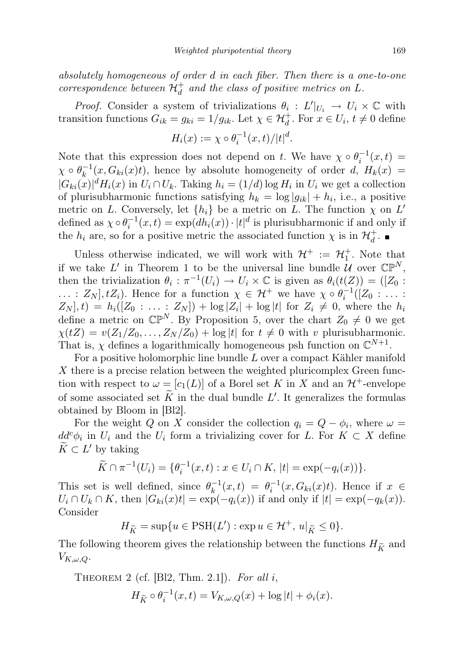absolutely homogeneous of order d in each fiber. Then there is a one-to-one correspondence between  $\mathcal{H}^+_d$  and the class of positive metrics on L.

*Proof.* Consider a system of trivializations  $\theta_i : L'|_{U_i} \to U_i \times \mathbb{C}$  with transition functions  $G_{ik} = g_{ki} = 1/g_{ik}$ . Let  $\chi \in \mathcal{H}_d^+$ . For  $x \in U_i$ ,  $t \neq 0$  define

$$
H_i(x) := \chi \circ \theta_i^{-1}(x,t) / |t|^d.
$$

Note that this expression does not depend on t. We have  $\chi \circ \theta_i^{-1}(x,t) =$  $\chi\circ \theta_k^{-1}$  $k_k^{-1}(x, G_{ki}(x)t)$ , hence by absolute homogeneity of order d,  $H_k(x) =$  $|G_{ki}(x)|^d H_i(x)$  in  $U_i \cap U_k$ . Taking  $h_i = (1/d) \log H_i$  in  $U_i$  we get a collection of plurisubharmonic functions satisfying  $h_k = \log |g_{ik}| + h_i$ , i.e., a positive metric on L. Conversely, let  $\{h_i\}$  be a metric on L. The function  $\chi$  on L' defined as  $\chi \circ \theta_i^{-1}(x,t) = \exp(d h_i(x)) \cdot |t|^d$  is plurisubharmonic if and only if the  $h_i$  are, so for a positive metric the associated function  $\chi$  is in  $\mathcal{H}_d^+$ .

Unless otherwise indicated, we will work with  $\mathcal{H}^+ := \mathcal{H}^+_1$ . Note that if we take L' in Theorem 1 to be the universal line bundle U over  $\mathbb{CP}^N$ , then the trivialization  $\theta_i : \pi^{-1}(U_i) \to U_i \times \mathbb{C}$  is given as  $\theta_i(t(Z)) = ([Z_0 :$ ... :  $Z_N$ ,  $tZ_i$ ). Hence for a function  $\chi \in \mathcal{H}^+$  we have  $\chi \circ \theta_i^{-1}([Z_0 : \dots :$  $Z_N$ ,  $t) = h_i([Z_0: \dots: Z_N]) + \log |Z_i| + \log |t|$  for  $Z_i \neq 0$ , where the  $h_i$ define a metric on  $\mathbb{CP}^N$ . By Proposition 5, over the chart  $Z_0 \neq 0$  we get  $\chi(tZ) = v(Z_1/Z_0, \ldots, Z_N/Z_0) + \log|t|$  for  $t \neq 0$  with v plurisubharmonic. That is,  $\chi$  defines a logarithmically homogeneous psh function on  $\mathbb{C}^{N+1}$ .

For a positive holomorphic line bundle L over a compact Kähler manifold X there is a precise relation between the weighted pluricomplex Green function with respect to  $\omega = [c_1(L)]$  of a Borel set K in X and an  $\mathcal{H}^+$ -envelope of some associated set  $\tilde{K}$  in the dual bundle L'. It generalizes the formulas obtained by Bloom in [Bl2].

For the weight Q on X consider the collection  $q_i = Q - \phi_i$ , where  $\omega =$  $dd^c \phi_i$  in  $U_i$  and the  $U_i$  form a trivializing cover for L. For  $K \subset X$  define  $\widetilde{K} \subset L'$  by taking

$$
\widetilde{K} \cap \pi^{-1}(U_i) = \{ \theta_i^{-1}(x, t) : x \in U_i \cap K, |t| = \exp(-q_i(x)) \}.
$$

This set is well defined, since  $\theta_k^{-1}$  $h_k^{-1}(x,t) = \theta_i^{-1}(x, G_{ki}(x)t)$ . Hence if  $x \in$  $U_i \cap U_k \cap K$ , then  $|G_{ki}(x)t| = \exp(-q_i(x))$  if and only if  $|t| = \exp(-q_k(x))$ . Consider

 $H_{\widetilde{K}} = \sup\{u \in \text{PSH}(L'): \exp u \in \mathcal{H}^+, u|_{\widetilde{K}} \leq 0\}.$ 

The following theorem gives the relationship between the functions  $H_{\tilde K}$  and  $V_{K,\omega,Q}$ .

THEOREM 2 (cf. [Bl2, Thm. 2.1]). For all i,

$$
H_{\widetilde{K}} \circ \theta_i^{-1}(x, t) = V_{K, \omega, Q}(x) + \log|t| + \phi_i(x).
$$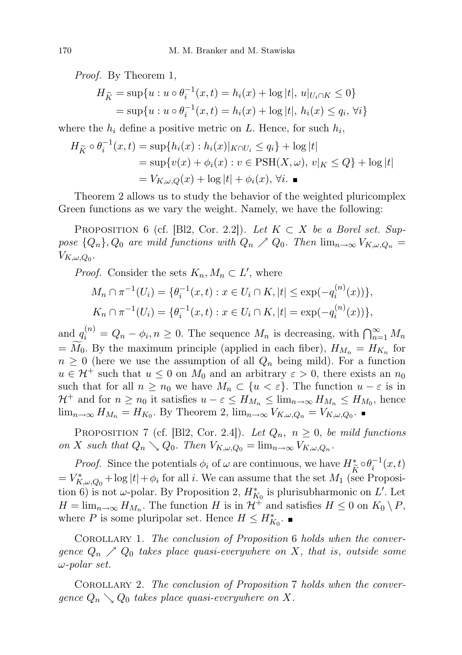Proof. By Theorem 1,

$$
H_{\widetilde{K}} = \sup \{ u : u \circ \theta_i^{-1}(x, t) = h_i(x) + \log |t|, u|_{U_i \cap K} \le 0 \}
$$
  
=  $\sup \{ u : u \circ \theta_i^{-1}(x, t) = h_i(x) + \log |t|, h_i(x) \le q_i, \forall i \}$ 

where the  $h_i$  define a positive metric on L. Hence, for such  $h_i$ ,

$$
H_{\widetilde{K}} \circ \theta_i^{-1}(x, t) = \sup\{h_i(x) : h_i(x)|_{K \cap U_i} \le q_i\} + \log|t|
$$
  
=  $\sup\{v(x) + \phi_i(x) : v \in \text{PSH}(X, \omega), v|_K \le Q\} + \log|t|$   
=  $V_{K, \omega, Q}(x) + \log|t| + \phi_i(x), \forall i.$ 

Theorem 2 allows us to study the behavior of the weighted pluricomplex Green functions as we vary the weight. Namely, we have the following:

PROPOSITION 6 (cf. [Bl2, Cor. 2.2]). Let  $K \subset X$  be a Borel set. Suppose  $\{Q_n\}$ ,  $Q_0$  are mild functions with  $Q_n \nearrow Q_0$ . Then  $\lim_{n\to\infty} V_{K,\omega,Q_n} =$  $V_{K,\omega,Q_0}$ .

*Proof.* Consider the sets  $K_n, M_n \subset L'$ , where

$$
M_n \cap \pi^{-1}(U_i) = \{ \theta_i^{-1}(x, t) : x \in U_i \cap K, |t| \le \exp(-q_i^{(n)}(x)) \},
$$
  

$$
K_n \cap \pi^{-1}(U_i) = \{ \theta_i^{-1}(x, t) : x \in U_i \cap K, |t| = \exp(-q_i^{(n)}(x)) \},
$$

and  $q_i^{(n)} = Q_n - \phi_i, n \geq 0$ . The sequence  $M_n$  is decreasing, with  $\bigcap_{n=1}^{\infty} M_n$  $= M_0$ . By the maximum principle (applied in each fiber),  $H_{M_n} = H_{K_n}$  for  $n \geq 0$  (here we use the assumption of all  $Q_n$  being mild). For a function  $u \in \mathcal{H}^+$  such that  $u \leq 0$  on  $M_0$  and an arbitrary  $\varepsilon > 0$ , there exists an  $n_0$ such that for all  $n \geq n_0$  we have  $M_n \subset \{u < \varepsilon\}$ . The function  $u - \varepsilon$  is in  $\mathcal{H}^+$  and for  $n \geq n_0$  it satisfies  $u - \varepsilon \leq H_{M_n} \leq \lim_{n \to \infty} H_{M_n} \leq H_{M_0}$ , hence  $\lim_{n\to\infty} H_{M_n} = H_{K_0}$ . By Theorem 2,  $\lim_{n\to\infty} V_{K,\omega,Q_n} = V_{K,\omega,Q_0}$ .

PROPOSITION 7 (cf. [Bl2, Cor. 2.4]). Let  $Q_n$ ,  $n \geq 0$ , be mild functions on X such that  $Q_n \searrow Q_0$ . Then  $V_{K,\omega,Q_0} = \lim_{n \to \infty} V_{K,\omega,Q_n}$ .

*Proof.* Since the potentials  $\phi_i$  of  $\omega$  are continuous, we have  $H^*_{\widetilde{K}} \circ \theta_i^{-1}(x,t)$  $V_{K,\omega,Q_0}^*$  + log  $|t| + \phi_i$  for all i. We can assume that the set  $M_1$  (see Proposition 6) is not  $\omega$ -polar. By Proposition 2,  $H_{K_0}^*$  is plurisubharmonic on L'. Let  $H = \lim_{n \to \infty} H_{M_n}$ . The function H is in  $\mathcal{H}^+$  and satisfies  $H \leq 0$  on  $K_0 \setminus P$ , where P is some pluripolar set. Hence  $H \le H_{K_0}^*$ .

COROLLARY 1. The conclusion of Proposition 6 holds when the convergence  $Q_n \nearrow Q_0$  takes place quasi-everywhere on X, that is, outside some ω-polar set.

COROLLARY 2. The conclusion of Proposition 7 holds when the convergence  $Q_n \searrow Q_0$  takes place quasi-everywhere on X.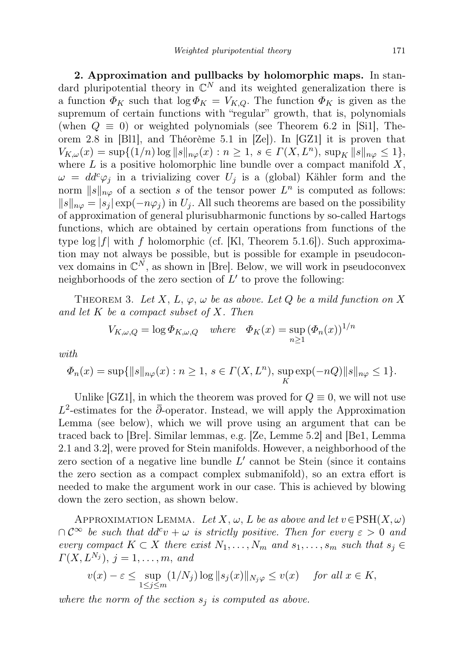2. Approximation and pullbacks by holomorphic maps. In standard pluripotential theory in  $\mathbb{C}^N$  and its weighted generalization there is a function  $\Phi_K$  such that  $\log \Phi_K = V_{K,Q}$ . The function  $\Phi_K$  is given as the supremum of certain functions with "regular" growth, that is, polynomials (when  $Q \equiv 0$ ) or weighted polynomials (see Theorem 6.2 in [Si1], Theorem 2.8 in [Bl1], and Théorème 5.1 in [Ze]). In [GZ1] it is proven that  $V_{K,\omega}(x) = \sup\{(1/n)\log ||s||_{n\varphi}(x) : n \ge 1, s \in \Gamma(X,L^n), \sup_K ||s||_{n\varphi} \le 1\},\$ where  $L$  is a positive holomorphic line bundle over a compact manifold  $X$ ,  $\omega = dd^c \varphi_i$  in a trivializing cover  $U_i$  is a (global) Kähler form and the norm  $||s||_{n\varphi}$  of a section s of the tensor power  $L^n$  is computed as follows:  $||s||_{n\varphi} = |s_j| \exp(-n\varphi_j)$  in  $U_j$ . All such theorems are based on the possibility of approximation of general plurisubharmonic functions by so-called Hartogs functions, which are obtained by certain operations from functions of the type  $\log|f|$  with f holomorphic (cf. [Kl, Theorem 5.1.6]). Such approximation may not always be possible, but is possible for example in pseudoconvex domains in  $\mathbb{C}^N$ , as shown in [Bre]. Below, we will work in pseudoconvex neighborhoods of the zero section of  $L'$  to prove the following:

THEOREM 3. Let X, L,  $\varphi$ ,  $\omega$  be as above. Let Q be a mild function on X and let  $K$  be a compact subset of  $X$ . Then

$$
V_{K,\omega,Q} = \log \Phi_{K,\omega,Q} \quad \text{where} \quad \Phi_K(x) = \sup_{n \ge 1} (\Phi_n(x))^{1/n}
$$

with

$$
\Phi_n(x) = \sup\{\|s\|_{n\varphi}(x) : n \ge 1, \, s \in \Gamma(X, L^n), \, \sup_K \exp(-nQ)\|s\|_{n\varphi} \le 1\}.
$$

Unlike [GZ1], in which the theorem was proved for  $Q \equiv 0$ , we will not use  $L^2$ -estimates for the  $\bar{\partial}$ -operator. Instead, we will apply the Approximation Lemma (see below), which we will prove using an argument that can be traced back to [Bre]. Similar lemmas, e.g. [Ze, Lemme 5.2] and [Be1, Lemma 2.1 and 3.2], were proved for Stein manifolds. However, a neighborhood of the zero section of a negative line bundle  $L'$  cannot be Stein (since it contains the zero section as a compact complex submanifold), so an extra effort is needed to make the argument work in our case. This is achieved by blowing down the zero section, as shown below.

APPROXIMATION LEMMA. Let X,  $\omega$ , L be as above and let  $v \in \mathrm{PSH}(X, \omega)$  $\bigcap \mathcal{C}^{\infty}$  be such that  $dd^c v + \omega$  is strictly positive. Then for every  $\varepsilon > 0$  and every compact  $K \subset X$  there exist  $N_1, \ldots, N_m$  and  $s_1, \ldots, s_m$  such that  $s_j \in$  $\Gamma(X, L^{N_j}), j = 1, \ldots, m, \text{ and}$ 

$$
v(x) - \varepsilon \le \sup_{1 \le j \le m} (1/N_j) \log ||s_j(x)||_{N_j \varphi} \le v(x) \quad \text{ for all } x \in K,
$$

where the norm of the section  $s_j$  is computed as above.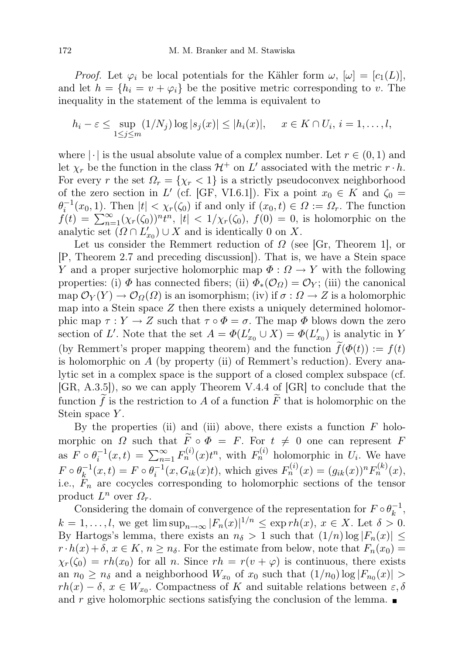*Proof.* Let  $\varphi_i$  be local potentials for the Kähler form  $\omega$ ,  $[\omega] = [c_1(L)]$ , and let  $h = \{h_i = v + \varphi_i\}$  be the positive metric corresponding to v. The inequality in the statement of the lemma is equivalent to

$$
h_i - \varepsilon \le \sup_{1 \le j \le m} (1/N_j) \log |s_j(x)| \le |h_i(x)|, \quad x \in K \cap U_i, i = 1, \dots, l,
$$

where  $|\cdot|$  is the usual absolute value of a complex number. Let  $r \in (0, 1)$  and let  $\chi_r$  be the function in the class  $\mathcal{H}^+$  on  $L'$  associated with the metric  $r \cdot h$ . For every r the set  $\Omega_r = \{\chi_r < 1\}$  is a strictly pseudoconvex neighborhood of the zero section in L' (cf. [GF, VI.6.1]). Fix a point  $x_0 \in K$  and  $\zeta_0 =$  $\theta_i^{-1}(x_0, 1)$ . Then  $|t| < \chi_r(\zeta_0)$  if and only if  $(x_0, t) \in \Omega := \Omega_r$ . The function  $f(t) = \sum_{n=1}^{\infty} (\chi_r(\zeta_0))^{n} t^n$ ,  $|t| < 1/\chi_r(\zeta_0)$ ,  $f(0) = 0$ , is holomorphic on the analytic set  $(\Omega \cap L'_{x_0}) \cup X$  and is identically 0 on X.

Let us consider the Remmert reduction of  $\Omega$  (see [Gr, Theorem 1], or [P, Theorem 2.7 and preceding discussion]). That is, we have a Stein space Y and a proper surjective holomorphic map  $\Phi: \Omega \to Y$  with the following properties: (i)  $\Phi$  has connected fibers; (ii)  $\Phi_*(\mathcal{O}_\Omega) = \mathcal{O}_Y$ ; (iii) the canonical map  $\mathcal{O}_Y(Y) \to \mathcal{O}_\Omega(\Omega)$  is an isomorphism; (iv) if  $\sigma : \Omega \to Z$  is a holomorphic map into a Stein space  $Z$  then there exists a uniquely determined holomorphic map  $\tau: Y \to Z$  such that  $\tau \circ \Phi = \sigma$ . The map  $\Phi$  blows down the zero section of L'. Note that the set  $A = \Phi(L'_{x_0} \cup X) = \Phi(L'_{x_0})$  is analytic in Y (by Remmert's proper mapping theorem) and the function  $\tilde{f}(\Phi(t)) := f(t)$ is holomorphic on  $A$  (by property (ii) of Remmert's reduction). Every analytic set in a complex space is the support of a closed complex subspace (cf. [GR, A.3.5]), so we can apply Theorem V.4.4 of [GR] to conclude that the function f is the restriction to A of a function  $\widetilde{F}$  that is holomorphic on the Stein space Y.

By the properties (ii) and (iii) above, there exists a function  $F$  holomorphic on  $\Omega$  such that  $\widetilde{F} \circ \Phi = F$ . For  $t \neq 0$  one can represent F as  $F \circ \theta_i^{-1}(x,t) = \sum_{n=1}^{\infty} F_n^{(i)}(x)t^n$ , with  $F_n^{(i)}$  holomorphic in  $U_i$ . We have  $F \circ \theta_k^{-1}$  $k_{k}^{-1}(x,t) = F \circ \theta_{i}^{-1}(x, G_{ik}(x)t)$ , which gives  $F_{n}^{(i)}(x) = (g_{ik}(x))^{n} F_{n}^{(k)}(x)$ , i.e.,  $F_n$  are cocycles corresponding to holomorphic sections of the tensor product  $L^n$  over  $\Omega_r$ .

Considering the domain of convergence of the representation for  $F \circ \theta_k^{-1}$  $\bar{k}^{-1},$  $k = 1, \ldots, l$ , we get  $\limsup_{n \to \infty} |F_n(x)|^{1/n} \leq \exp rh(x), x \in X$ . Let  $\delta > 0$ . By Hartogs's lemma, there exists an  $n_{\delta} > 1$  such that  $(1/n) \log |F_n(x)| \le$  $r \cdot h(x) + \delta, x \in K, n \geq n_{\delta}$ . For the estimate from below, note that  $F_n(x_0) =$  $\chi_r(\zeta_0) = rh(x_0)$  for all n. Since  $rh = r(v + \varphi)$  is continuous, there exists an  $n_0 \geq n_\delta$  and a neighborhood  $W_{x_0}$  of  $x_0$  such that  $(1/n_0) \log |F_{n_0}(x)| >$  $rh(x) - \delta, x \in W_{x_0}$ . Compactness of K and suitable relations between  $\varepsilon, \delta$ and  $r$  give holomorphic sections satisfying the conclusion of the lemma.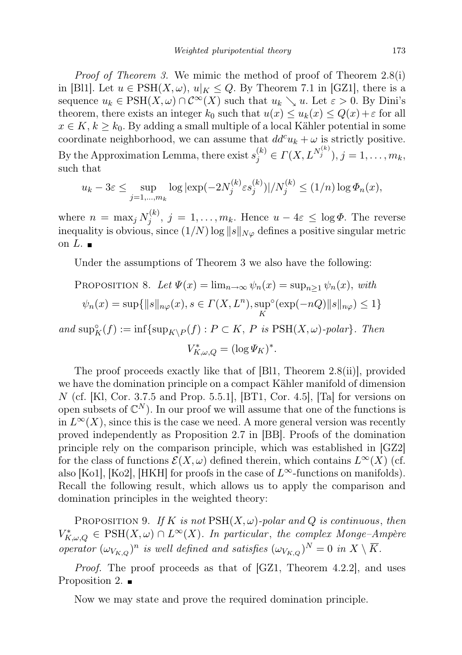Proof of Theorem 3. We mimic the method of proof of Theorem 2.8(i) in [Bl1]. Let  $u \in \text{PSH}(X, \omega)$ ,  $u|_K \leq Q$ . By Theorem 7.1 in [GZ1], there is a sequence  $u_k \in \text{PSH}(X, \omega) \cap C^{\infty}(X)$  such that  $u_k \searrow u$ . Let  $\varepsilon > 0$ . By Dini's theorem, there exists an integer  $k_0$  such that  $u(x) \leq u_k(x) \leq Q(x) + \varepsilon$  for all  $x \in K, k \geq k_0$ . By adding a small multiple of a local Kähler potential in some coordinate neighborhood, we can assume that  $dd^c u_k + \omega$  is strictly positive. By the Approximation Lemma, there exist  $s_j^{(k)} \in \Gamma(X, L^{N_j^{(k)}}), j = 1, \ldots, m_k$ , such that

$$
u_k - 3\varepsilon \le \sup_{j=1,\dots,m_k} \log|\exp(-2N_j^{(k)} \varepsilon s_j^{(k)})| / N_j^{(k)} \le (1/n) \log \Phi_n(x),
$$

where  $n = \max_j N_i^{(k)}$  $j^{(k)}$ ,  $j = 1, \ldots, m_k$ . Hence  $u - 4\varepsilon \leq \log \Phi$ . The reverse inequality is obvious, since  $(1/N)$  log  $||s||_{N\varphi}$  defines a positive singular metric on  $L$ .

Under the assumptions of Theorem 3 we also have the following:

PROPOSITION 8. Let 
$$
\Psi(x) = \lim_{n \to \infty} \psi_n(x) = \sup_{n \ge 1} \psi_n(x)
$$
, with  
\n $\psi_n(x) = \sup{\|s\|_{n\varphi}(x), s \in \Gamma(X, L^n), \sup_K \circ (\exp(-nQ)\|s\|_{n\varphi}) \le 1}$   
\nand  $\sup_K \circ_f(f) := \inf{\sup_{K \setminus P}(f) : P \subset K, P \text{ is PSH}(X, \omega)\text{-polar}}.$  Then

 $V_{K,\omega,Q}^{*} = (\log \Psi_K)^*.$ 

The proof proceeds exactly like that of [Bl1, Theorem 2.8(ii)], provided we have the domination principle on a compact Kähler manifold of dimension N (cf. [Kl, Cor. 3.7.5 and Prop. 5.5.1], [BT1, Cor. 4.5], [Ta] for versions on open subsets of  $\mathbb{C}^N$ ). In our proof we will assume that one of the functions is in  $L^{\infty}(X)$ , since this is the case we need. A more general version was recently proved independently as Proposition 2.7 in [BB]. Proofs of the domination principle rely on the comparison principle, which was established in [GZ2] for the class of functions  $\mathcal{E}(X,\omega)$  defined therein, which contains  $L^{\infty}(X)$  (cf. also [Ko1], [Ko2], [HKH] for proofs in the case of  $L^{\infty}$ -functions on manifolds). Recall the following result, which allows us to apply the comparison and domination principles in the weighted theory:

PROPOSITION 9. If K is not  $\text{PSH}(X,\omega)$ -polar and Q is continuous, then  $V_{K,\omega,Q}^* \in \text{PSH}(X,\omega) \cap L^{\infty}(X)$ . In particular, the complex Monge-Ampère operator  $(\omega_{V_{K,Q}})^n$  is well defined and satisfies  $(\omega_{V_{K,Q}})^N = 0$  in  $X \setminus \overline{K}$ .

Proof. The proof proceeds as that of [GZ1, Theorem 4.2.2], and uses Proposition 2.  $\blacksquare$ 

Now we may state and prove the required domination principle.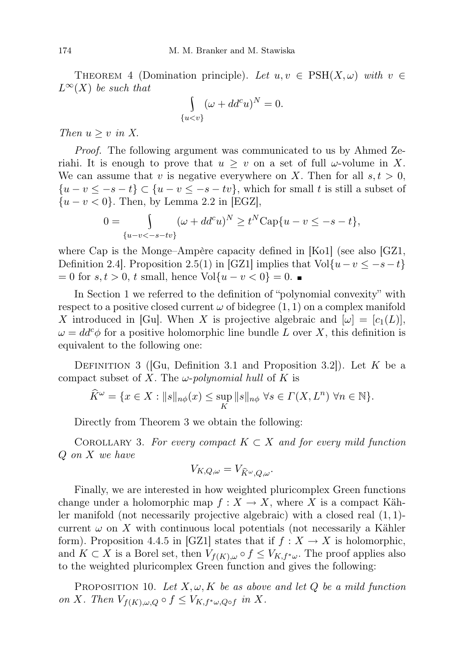THEOREM 4 (Domination principle). Let  $u, v \in \text{PSH}(X, \omega)$  with  $v \in$  $L^{\infty}(X)$  be such that

$$
\int_{\{u
$$

Then  $u \geq v$  in X.

Proof. The following argument was communicated to us by Ahmed Zeriahi. It is enough to prove that  $u \geq v$  on a set of full  $\omega$ -volume in X. We can assume that v is negative everywhere on X. Then for all  $s, t > 0$ ,  ${u-v \leq -s-t} \subset {u-v \leq -s-tv}$ , which for small t is still a subset of  $\{u - v < 0\}$ . Then, by Lemma 2.2 in [EGZ],

$$
0 = \int_{\{u-v<-s-tv\}} (\omega + dd^c u)^N \ge t^N \text{Cap}\{u-v \le -s-t\},
$$

where Cap is the Monge–Ampère capacity defined in [Ko1] (see also [GZ1, Definition 2.4]. Proposition 2.5(1) in [GZ1] implies that Vol $\{u-v \leq -s-t\}$  $= 0$  for  $s, t > 0$ , t small, hence Vol{u – v < 0} = 0. ■

In Section 1 we referred to the definition of "polynomial convexity" with respect to a positive closed current  $\omega$  of bidegree  $(1, 1)$  on a complex manifold X introduced in [Gu]. When X is projective algebraic and  $[\omega] = [c_1(L)]$ ,  $\omega = dd^c \phi$  for a positive holomorphic line bundle L over X, this definition is equivalent to the following one:

DEFINITION 3 ([Gu, Definition 3.1 and Proposition 3.2]). Let K be a compact subset of X. The  $\omega$ -polynomial hull of K is

$$
\widehat{K}^{\omega} = \{ x \in X : ||s||_{n\phi}(x) \le \sup_{K} ||s||_{n\phi} \,\,\forall s \in \Gamma(X, L^{n}) \,\,\forall n \in \mathbb{N} \}.
$$

Directly from Theorem 3 we obtain the following:

COROLLARY 3. For every compact  $K \subset X$  and for every mild function Q on X we have

$$
V_{K,Q,\omega} = V_{\widehat{K}^{\omega},Q,\omega}.
$$

Finally, we are interested in how weighted pluricomplex Green functions change under a holomorphic map  $f: X \to X$ , where X is a compact Kähler manifold (not necessarily projective algebraic) with a closed real (1, 1) current  $\omega$  on X with continuous local potentials (not necessarily a Kähler form). Proposition 4.4.5 in [GZ1] states that if  $f : X \to X$  is holomorphic, and  $K \subset X$  is a Borel set, then  $V_{f(K),\omega} \circ f \leq V_{K,f^*\omega}$ . The proof applies also to the weighted pluricomplex Green function and gives the following:

PROPOSITION 10. Let  $X, \omega, K$  be as above and let Q be a mild function on X. Then  $V_{f(K),\omega,Q} \circ f \leq V_{K,f^*\omega,Q \circ f}$  in X.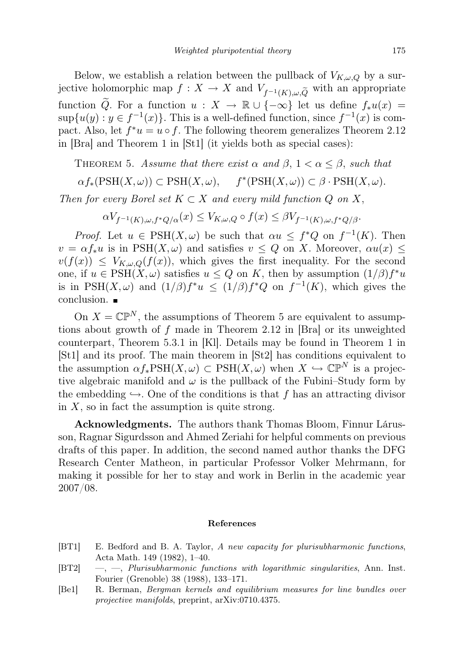Below, we establish a relation between the pullback of  $V_{K,\omega,Q}$  by a surjective holomorphic map  $f: X \to X$  and  $V_{f^{-1}(K), \omega, \tilde{Q}}$  with an appropriate function  $\widetilde{Q}$ . For a function  $u : X \to \mathbb{R} \cup \{-\infty\}$  let us define  $f_*u(x) =$  $\sup\{u(y): y \in f^{-1}(x)\}\.$  This is a well-defined function, since  $f^{-1}(x)$  is compact. Also, let  $f^*u = u \circ f$ . The following theorem generalizes Theorem 2.12 in [Bra] and Theorem 1 in [St1] (it yields both as special cases):

THEOREM 5. Assume that there exist  $\alpha$  and  $\beta$ ,  $1 < \alpha \leq \beta$ , such that

$$
\alpha f_*(\text{PSH}(X,\omega)) \subset \text{PSH}(X,\omega), \quad f^*(\text{PSH}(X,\omega)) \subset \beta \cdot \text{PSH}(X,\omega).
$$

Then for every Borel set  $K \subset X$  and every mild function Q on X,

 $\alpha V_{f^{-1}(K),\omega,f^*Q/\alpha}(x) \leq V_{K,\omega,Q} \circ f(x) \leq \beta V_{f^{-1}(K),\omega,f^*Q/\beta}.$ 

*Proof.* Let  $u \in \text{PSH}(X,\omega)$  be such that  $\alpha u \leq f^*Q$  on  $f^{-1}(K)$ . Then  $v = \alpha f_* u$  is in PSH $(X, \omega)$  and satisfies  $v \leq Q$  on X. Moreover,  $\alpha u(x) \leq$  $v(f(x)) \leq V_{K,\omega,Q}(f(x))$ , which gives the first inequality. For the second one, if  $u \in \text{PSH}(X, \omega)$  satisfies  $u \leq Q$  on K, then by assumption  $(1/\beta)f^*u$ is in PSH $(X, \omega)$  and  $(1/\beta)f^*u \leq (1/\beta)f^*Q$  on  $f^{-1}(K)$ , which gives the conclusion.

On  $X = \mathbb{CP}^N$ , the assumptions of Theorem 5 are equivalent to assumptions about growth of f made in Theorem 2.12 in [Bra] or its unweighted counterpart, Theorem 5.3.1 in [Kl]. Details may be found in Theorem 1 in [St1] and its proof. The main theorem in [St2] has conditions equivalent to the assumption  $\alpha f_*PSH(X,\omega) \subset \text{PSH}(X,\omega)$  when  $X \hookrightarrow \mathbb{CP}^N$  is a projective algebraic manifold and  $\omega$  is the pullback of the Fubini–Study form by the embedding  $\hookrightarrow$ . One of the conditions is that f has an attracting divisor in  $X$ , so in fact the assumption is quite strong.

Acknowledgments. The authors thank Thomas Bloom, Finnur Lárusson, Ragnar Sigurdsson and Ahmed Zeriahi for helpful comments on previous drafts of this paper. In addition, the second named author thanks the DFG Research Center Matheon, in particular Professor Volker Mehrmann, for making it possible for her to stay and work in Berlin in the academic year 2007/08.

## References

- [BT1] E. Bedford and B. A. Taylor, A new capacity for plurisubharmonic functions, Acta Math. 149 (1982), 1–40.
- [BT2] —, —, Plurisubharmonic functions with logarithmic singularities, Ann. Inst. Fourier (Grenoble) 38 (1988), 133–171.
- [Be1] R. Berman, Bergman kernels and equilibrium measures for line bundles over projective manifolds, preprint, arXiv:0710.4375.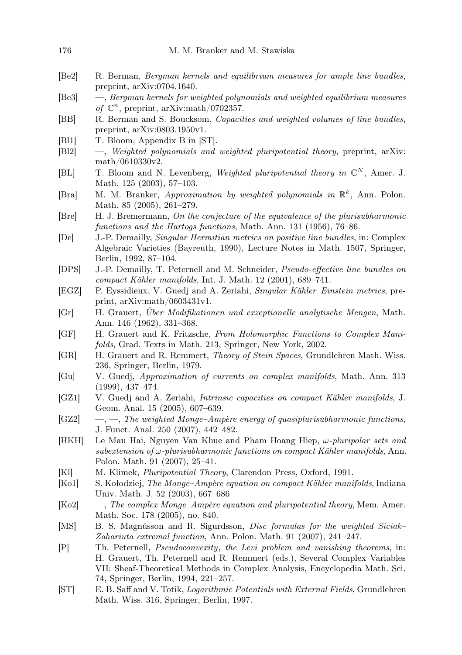- [Be2] R. Berman, Bergman kernels and equilibrium measures for ample line bundles, preprint, arXiv:0704.1640.
- [Be3] —, Bergman kernels for weighted polynomials and weighted equilibrium measures of  $\mathbb{C}^n$ , preprint, arXiv:math/0702357.
- [BB] R. Berman and S. Boucksom, Capacities and weighted volumes of line bundles, preprint, arXiv:0803.1950v1.
- [Bl1] T. Bloom, Appendix B in [ST].
- [Bl2] —, Weighted polynomials and weighted pluripotential theory, preprint, arXiv: math/0610330v2.
- [BL] T. Bloom and N. Levenberg, Weighted pluripotential theory in  $\mathbb{C}^N$ , Amer. J. Math. 125 (2003), 57–103.
- [Bra] M. M. Branker, Approximation by weighted polynomials in  $\mathbb{R}^k$ , Ann. Polon. Math. 85 (2005), 261–279.
- [Bre] H. J. Bremermann, On the conjecture of the equivalence of the plurisubharmonic functions and the Hartogs functions, Math. Ann. 131 (1956), 76–86.
- [De] J.-P. Demailly, Singular Hermitian metrics on positive line bundles, in: Complex Algebraic Varieties (Bayreuth, 1990), Lecture Notes in Math. 1507, Springer, Berlin, 1992, 87–104.
- [DPS] J.-P. Demailly, T. Peternell and M. Schneider, Pseudo-effective line bundles on compact Kähler manifolds, Int. J. Math. 12 (2001), 689–741.
- [EGZ] P. Eyssidieux, V. Guedj and A. Zeriahi, Singular Kähler–Einstein metrics, preprint, arXiv:math/0603431v1.
- [Gr] H. Grauert, Über Modifikationen und exzeptionelle analytische Mengen, Math. Ann. 146 (1962), 331–368.
- [GF] H. Grauert and K. Fritzsche, From Holomorphic Functions to Complex Manifolds, Grad. Texts in Math. 213, Springer, New York, 2002.
- [GR] H. Grauert and R. Remmert, Theory of Stein Spaces, Grundlehren Math. Wiss. 236, Springer, Berlin, 1979.
- [Gu] V. Guedj, Approximation of currents on complex manifolds, Math. Ann. 313 (1999), 437–474.
- [GZ1] V. Guedj and A. Zeriahi, Intrinsic capacities on compact Kähler manifolds, J. Geom. Anal. 15 (2005), 607–639.
- $[GZ2] \quad -,-$ , The weighted Monge–Ampère energy of quasiplurisubharmonic functions, J. Funct. Anal. 250 (2007), 442–482.
- [HKH] Le Mau Hai, Nguyen Van Khue and Pham Hoang Hiep,  $\omega$ -pluripolar sets and subextension of  $\omega$ -plurisubharmonic functions on compact Kähler manifolds, Ann. Polon. Math. 91 (2007), 25–41.
- [Kl] M. Klimek, Pluripotential Theory, Clarendon Press, Oxford, 1991.
- [Ko1] S. Kołodziej, The Monge–Ampère equation on compact Kähler manifolds, Indiana Univ. Math. J. 52 (2003), 667–686
- [Ko2] —, The complex Monge–Ampère equation and pluripotential theory, Mem. Amer. Math. Soc. 178 (2005), no. 840.
- [MS] B. S. Magnússon and R. Sigurdsson, Disc formulas for the weighted Siciak– Zahariuta extremal function, Ann. Polon. Math. 91 (2007), 241–247.
- [P] Th. Peternell, Pseudoconvexity, the Levi problem and vanishing theorems, in: H. Grauert, Th. Peternell and R. Remmert (eds.), Several Complex Variables VII: Sheaf-Theoretical Methods in Complex Analysis, Encyclopedia Math. Sci. 74, Springer, Berlin, 1994, 221–257.
- [ST] E. B. Saff and V. Totik, Logarithmic Potentials with External Fields, Grundlehren Math. Wiss. 316, Springer, Berlin, 1997.